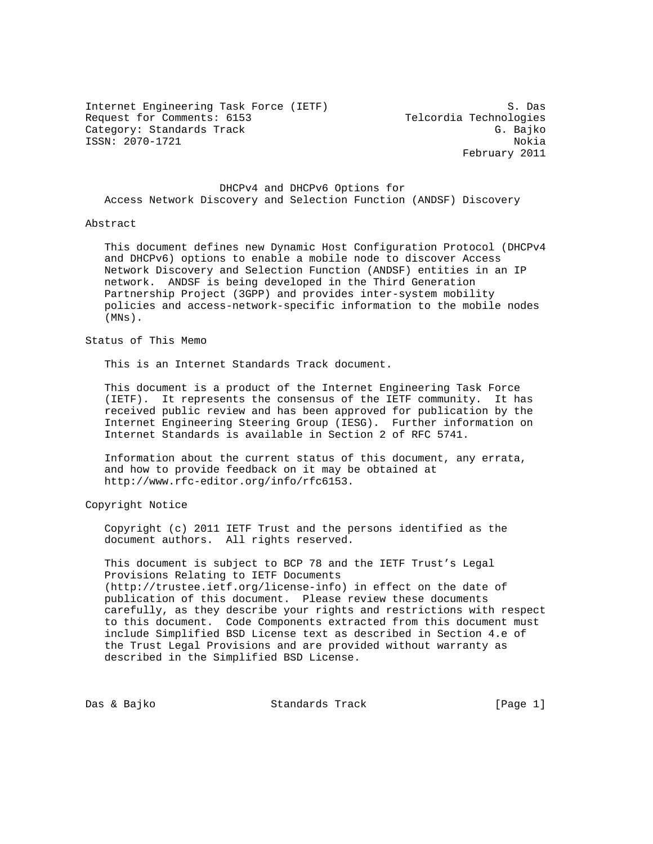Internet Engineering Task Force (IETF) S. Das Request for Comments: 6153 Telcordia Technologies Category: Standards Track G. Bajko ISSN: 2070-1721 Nokia

February 2011

 DHCPv4 and DHCPv6 Options for Access Network Discovery and Selection Function (ANDSF) Discovery

## Abstract

 This document defines new Dynamic Host Configuration Protocol (DHCPv4 and DHCPv6) options to enable a mobile node to discover Access Network Discovery and Selection Function (ANDSF) entities in an IP network. ANDSF is being developed in the Third Generation Partnership Project (3GPP) and provides inter-system mobility policies and access-network-specific information to the mobile nodes (MNs).

## Status of This Memo

This is an Internet Standards Track document.

 This document is a product of the Internet Engineering Task Force (IETF). It represents the consensus of the IETF community. It has received public review and has been approved for publication by the Internet Engineering Steering Group (IESG). Further information on Internet Standards is available in Section 2 of RFC 5741.

 Information about the current status of this document, any errata, and how to provide feedback on it may be obtained at http://www.rfc-editor.org/info/rfc6153.

Copyright Notice

 Copyright (c) 2011 IETF Trust and the persons identified as the document authors. All rights reserved.

 This document is subject to BCP 78 and the IETF Trust's Legal Provisions Relating to IETF Documents (http://trustee.ietf.org/license-info) in effect on the date of publication of this document. Please review these documents carefully, as they describe your rights and restrictions with respect to this document. Code Components extracted from this document must include Simplified BSD License text as described in Section 4.e of the Trust Legal Provisions and are provided without warranty as described in the Simplified BSD License.

Das & Bajko Standards Track [Page 1]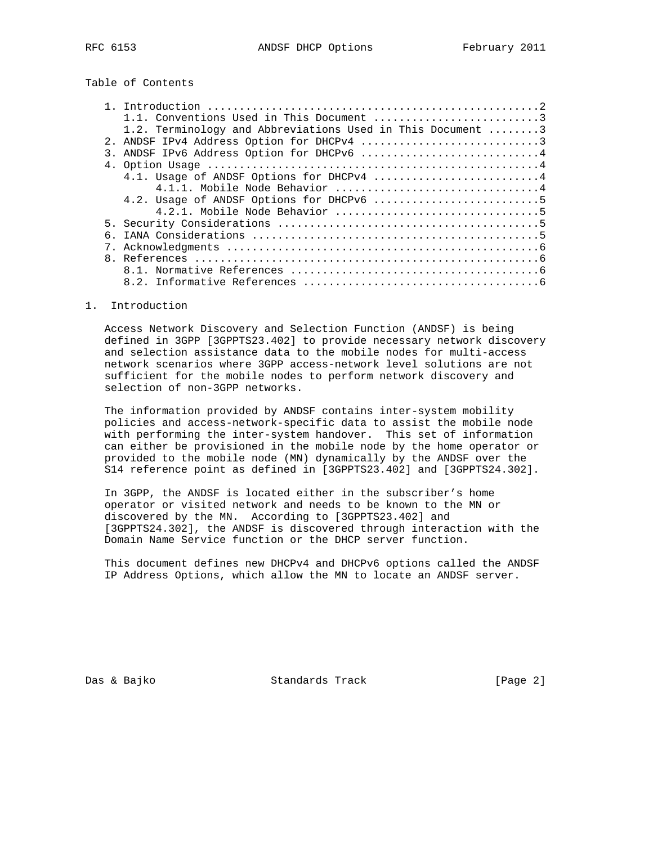Table of Contents

|                  | 1.2. Terminology and Abbreviations Used in This Document 3 |  |
|------------------|------------------------------------------------------------|--|
|                  |                                                            |  |
| $\overline{3}$ . | ANDSF IPv6 Address Option for DHCPv6 4                     |  |
|                  |                                                            |  |
|                  | 4.1. Usage of ANDSF Options for DHCPv4 4                   |  |
|                  |                                                            |  |
|                  |                                                            |  |
|                  |                                                            |  |
|                  |                                                            |  |
|                  |                                                            |  |
|                  |                                                            |  |
|                  |                                                            |  |
|                  |                                                            |  |
|                  |                                                            |  |

1. Introduction

 Access Network Discovery and Selection Function (ANDSF) is being defined in 3GPP [3GPPTS23.402] to provide necessary network discovery and selection assistance data to the mobile nodes for multi-access network scenarios where 3GPP access-network level solutions are not sufficient for the mobile nodes to perform network discovery and selection of non-3GPP networks.

 The information provided by ANDSF contains inter-system mobility policies and access-network-specific data to assist the mobile node with performing the inter-system handover. This set of information can either be provisioned in the mobile node by the home operator or provided to the mobile node (MN) dynamically by the ANDSF over the S14 reference point as defined in [3GPPTS23.402] and [3GPPTS24.302].

 In 3GPP, the ANDSF is located either in the subscriber's home operator or visited network and needs to be known to the MN or discovered by the MN. According to [3GPPTS23.402] and [3GPPTS24.302], the ANDSF is discovered through interaction with the Domain Name Service function or the DHCP server function.

 This document defines new DHCPv4 and DHCPv6 options called the ANDSF IP Address Options, which allow the MN to locate an ANDSF server.

Das & Bajko Standards Track [Page 2]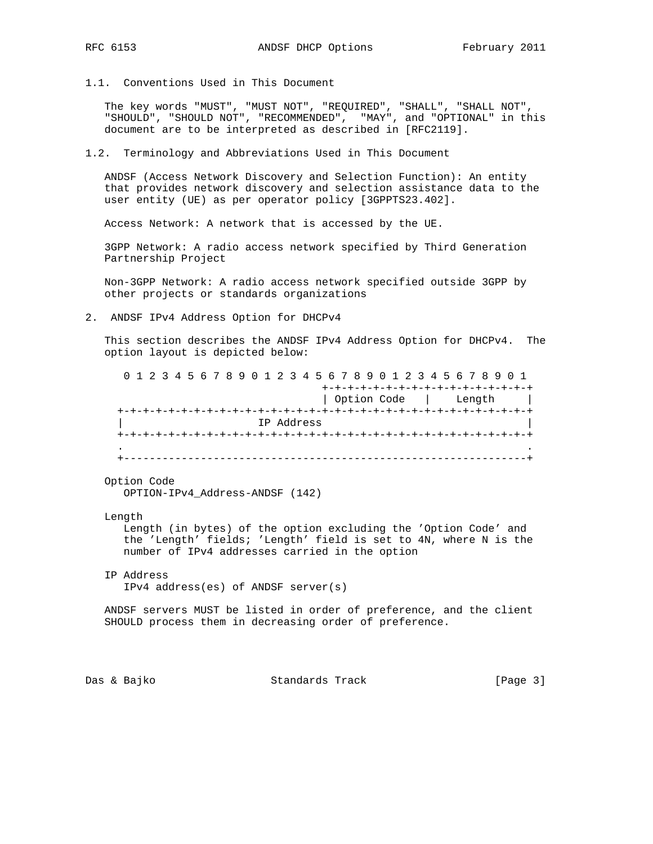- 
- 1.1. Conventions Used in This Document

 The key words "MUST", "MUST NOT", "REQUIRED", "SHALL", "SHALL NOT", "SHOULD", "SHOULD NOT", "RECOMMENDED", "MAY", and "OPTIONAL" in this document are to be interpreted as described in [RFC2119].

1.2. Terminology and Abbreviations Used in This Document

 ANDSF (Access Network Discovery and Selection Function): An entity that provides network discovery and selection assistance data to the user entity (UE) as per operator policy [3GPPTS23.402].

Access Network: A network that is accessed by the UE.

 3GPP Network: A radio access network specified by Third Generation Partnership Project

 Non-3GPP Network: A radio access network specified outside 3GPP by other projects or standards organizations

2. ANDSF IPv4 Address Option for DHCPv4

 This section describes the ANDSF IPv4 Address Option for DHCPv4. The option layout is depicted below:

 0 1 2 3 4 5 6 7 8 9 0 1 2 3 4 5 6 7 8 9 0 1 2 3 4 5 6 7 8 9 0 1 +-+-+-+-+-+-+-+-+-+-+-+-+-+-+-+-+ | Option Code | Length | +-+-+-+-+-+-+-+-+-+-+-+-+-+-+-+-+-+-+-+-+-+-+-+-+-+-+-+-+-+-+-+-+ | IP Address | +-+-+-+-+-+-+-+-+-+-+-+-+-+-+-+-+-+-+-+-+-+-+-+-+-+-+-+-+-+-+-+-+ . . +---------------------------------------------------------------+

Option Code

OPTION-IPv4\_Address-ANDSF (142)

Length

 Length (in bytes) of the option excluding the 'Option Code' and the 'Length' fields; 'Length' field is set to 4N, where N is the number of IPv4 addresses carried in the option

 IP Address IPv4 address(es) of ANDSF server(s)

 ANDSF servers MUST be listed in order of preference, and the client SHOULD process them in decreasing order of preference.

Das & Bajko Standards Track [Page 3]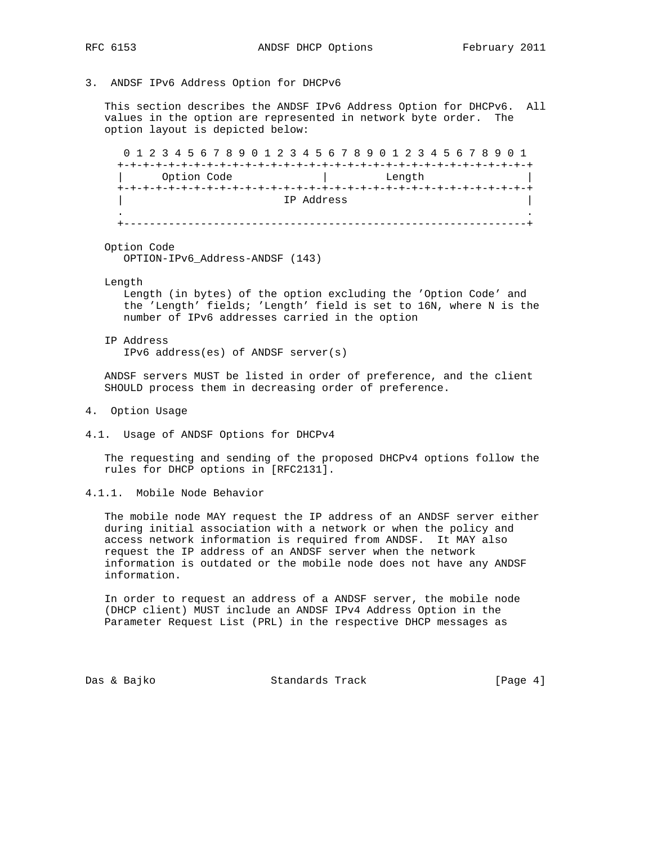- 
- 3. ANDSF IPv6 Address Option for DHCPv6

 This section describes the ANDSF IPv6 Address Option for DHCPv6. All values in the option are represented in network byte order. The option layout is depicted below:

 0 1 2 3 4 5 6 7 8 9 0 1 2 3 4 5 6 7 8 9 0 1 2 3 4 5 6 7 8 9 0 1 +-+-+-+-+-+-+-+-+-+-+-+-+-+-+-+-+-+-+-+-+-+-+-+-+-+-+-+-+-+-+-+-+ Option Code  $\qquad \qquad \vert$  Length +-+-+-+-+-+-+-+-+-+-+-+-+-+-+-+-+-+-+-+-+-+-+-+-+-+-+-+-+-+-+-+-+ | IP Address | . .

+---------------------------------------------------------------+

Option Code

OPTION-IPv6\_Address-ANDSF (143)

Length

 Length (in bytes) of the option excluding the 'Option Code' and the 'Length' fields; 'Length' field is set to 16N, where N is the number of IPv6 addresses carried in the option

 IP Address IPv6 address(es) of ANDSF server(s)

 ANDSF servers MUST be listed in order of preference, and the client SHOULD process them in decreasing order of preference.

- 4. Option Usage
- 4.1. Usage of ANDSF Options for DHCPv4

 The requesting and sending of the proposed DHCPv4 options follow the rules for DHCP options in [RFC2131].

4.1.1. Mobile Node Behavior

 The mobile node MAY request the IP address of an ANDSF server either during initial association with a network or when the policy and access network information is required from ANDSF. It MAY also request the IP address of an ANDSF server when the network information is outdated or the mobile node does not have any ANDSF information.

 In order to request an address of a ANDSF server, the mobile node (DHCP client) MUST include an ANDSF IPv4 Address Option in the Parameter Request List (PRL) in the respective DHCP messages as

Das & Bajko Standards Track [Page 4]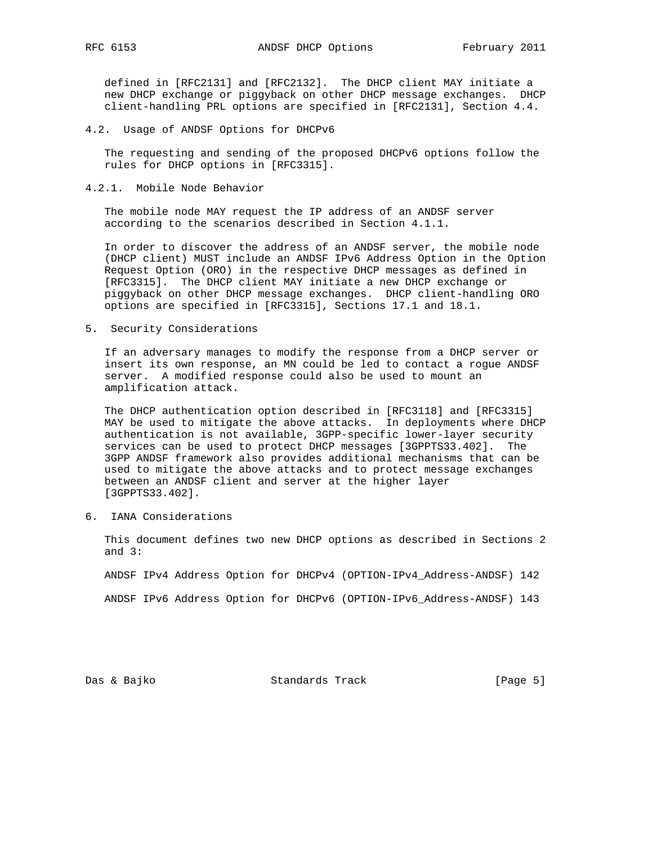defined in [RFC2131] and [RFC2132]. The DHCP client MAY initiate a new DHCP exchange or piggyback on other DHCP message exchanges. DHCP client-handling PRL options are specified in [RFC2131], Section 4.4.

4.2. Usage of ANDSF Options for DHCPv6

 The requesting and sending of the proposed DHCPv6 options follow the rules for DHCP options in [RFC3315].

4.2.1. Mobile Node Behavior

 The mobile node MAY request the IP address of an ANDSF server according to the scenarios described in Section 4.1.1.

 In order to discover the address of an ANDSF server, the mobile node (DHCP client) MUST include an ANDSF IPv6 Address Option in the Option Request Option (ORO) in the respective DHCP messages as defined in [RFC3315]. The DHCP client MAY initiate a new DHCP exchange or piggyback on other DHCP message exchanges. DHCP client-handling ORO options are specified in [RFC3315], Sections 17.1 and 18.1.

5. Security Considerations

 If an adversary manages to modify the response from a DHCP server or insert its own response, an MN could be led to contact a rogue ANDSF server. A modified response could also be used to mount an amplification attack.

 The DHCP authentication option described in [RFC3118] and [RFC3315] MAY be used to mitigate the above attacks. In deployments where DHCP authentication is not available, 3GPP-specific lower-layer security services can be used to protect DHCP messages [3GPPTS33.402]. The 3GPP ANDSF framework also provides additional mechanisms that can be used to mitigate the above attacks and to protect message exchanges between an ANDSF client and server at the higher layer [3GPPTS33.402].

6. IANA Considerations

 This document defines two new DHCP options as described in Sections 2 and 3:

ANDSF IPv4 Address Option for DHCPv4 (OPTION-IPv4\_Address-ANDSF) 142

ANDSF IPv6 Address Option for DHCPv6 (OPTION-IPv6\_Address-ANDSF) 143

Das & Bajko Standards Track [Page 5]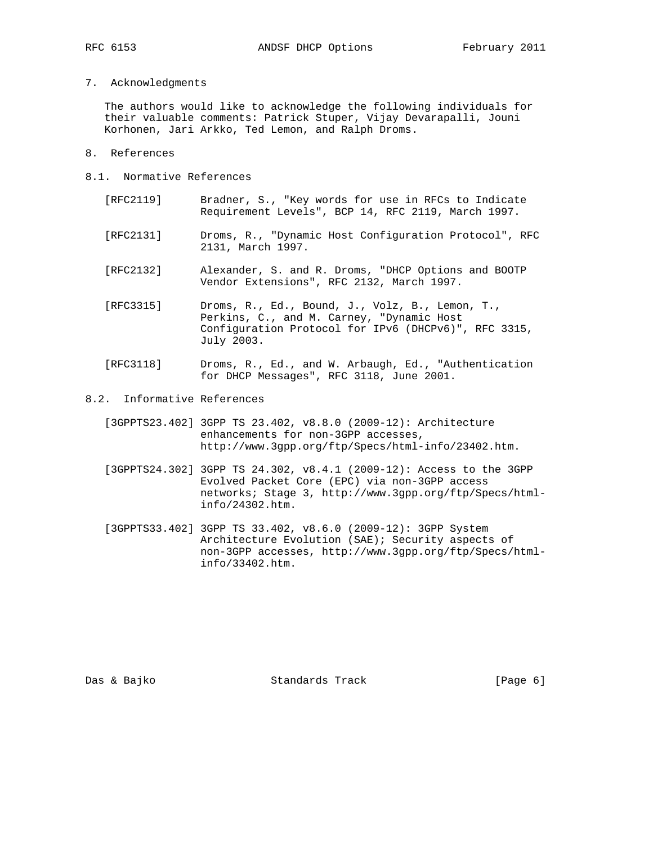7. Acknowledgments

 The authors would like to acknowledge the following individuals for their valuable comments: Patrick Stuper, Vijay Devarapalli, Jouni Korhonen, Jari Arkko, Ted Lemon, and Ralph Droms.

- 8. References
- 8.1. Normative References
	- [RFC2119] Bradner, S., "Key words for use in RFCs to Indicate Requirement Levels", BCP 14, RFC 2119, March 1997.
	- [RFC2131] Droms, R., "Dynamic Host Configuration Protocol", RFC 2131, March 1997.
	- [RFC2132] Alexander, S. and R. Droms, "DHCP Options and BOOTP Vendor Extensions", RFC 2132, March 1997.
	- [RFC3315] Droms, R., Ed., Bound, J., Volz, B., Lemon, T., Perkins, C., and M. Carney, "Dynamic Host Configuration Protocol for IPv6 (DHCPv6)", RFC 3315, July 2003.
	- [RFC3118] Droms, R., Ed., and W. Arbaugh, Ed., "Authentication for DHCP Messages", RFC 3118, June 2001.
- 8.2. Informative References
	- [3GPPTS23.402] 3GPP TS 23.402, v8.8.0 (2009-12): Architecture enhancements for non-3GPP accesses, http://www.3gpp.org/ftp/Specs/html-info/23402.htm.
	- [3GPPTS24.302] 3GPP TS 24.302, v8.4.1 (2009-12): Access to the 3GPP Evolved Packet Core (EPC) via non-3GPP access networks; Stage 3, http://www.3gpp.org/ftp/Specs/html info/24302.htm.
	- [3GPPTS33.402] 3GPP TS 33.402, v8.6.0 (2009-12): 3GPP System Architecture Evolution (SAE); Security aspects of non-3GPP accesses, http://www.3gpp.org/ftp/Specs/html info/33402.htm.

Das & Bajko Standards Track [Page 6]